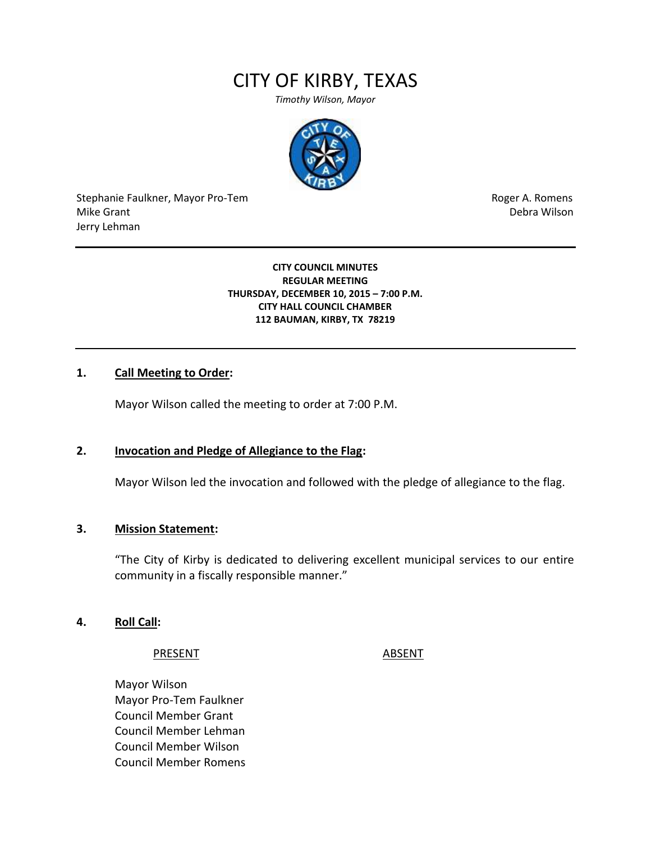# CITY OF KIRBY, TEXAS

*Timothy Wilson, Mayor*



Stephanie Faulkner, Mayor Pro-Tem **Roger A. Romens** Roger A. Romens Mike Grant National Accounts and the United States of the United States of the United States of the United States of the United States of the United States of the United States of the United States of the United States of Jerry Lehman

#### **CITY COUNCIL MINUTES REGULAR MEETING THURSDAY, DECEMBER 10, 2015 – 7:00 P.M. CITY HALL COUNCIL CHAMBER 112 BAUMAN, KIRBY, TX 78219**

### **1. Call Meeting to Order:**

Mayor Wilson called the meeting to order at 7:00 P.M.

#### **2. Invocation and Pledge of Allegiance to the Flag:**

Mayor Wilson led the invocation and followed with the pledge of allegiance to the flag.

#### **3. Mission Statement:**

"The City of Kirby is dedicated to delivering excellent municipal services to our entire community in a fiscally responsible manner."

#### **4. Roll Call:**

#### PRESENT ABSENT

Mayor Wilson Mayor Pro-Tem Faulkner Council Member Grant Council Member Lehman Council Member Wilson Council Member Romens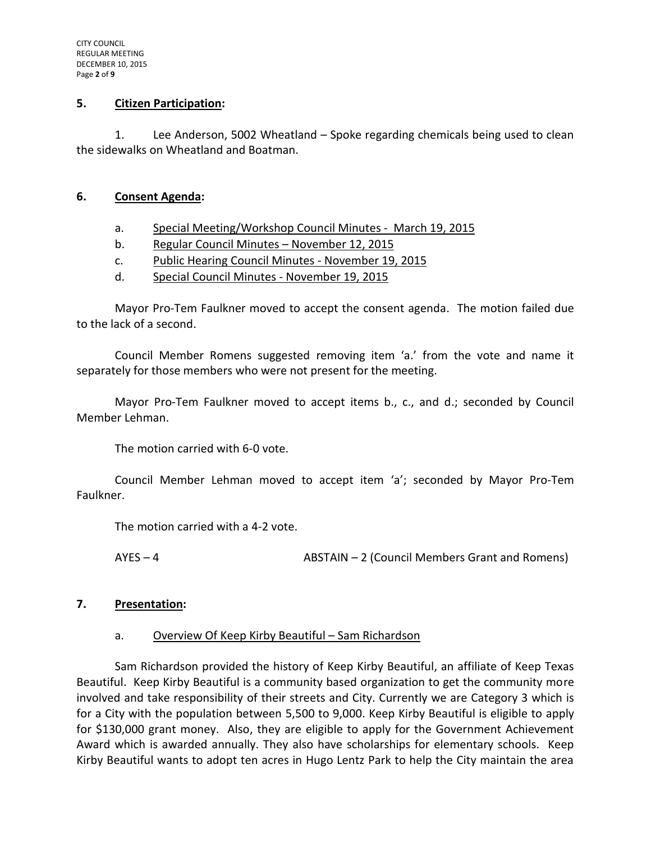#### **5. Citizen Participation:**

1. Lee Anderson, 5002 Wheatland – Spoke regarding chemicals being used to clean the sidewalks on Wheatland and Boatman.

#### **6. Consent Agenda:**

- a. Special Meeting/Workshop Council Minutes March 19, 2015
- b. Regular Council Minutes November 12, 2015
- c. Public Hearing Council Minutes November 19, 2015
- d. Special Council Minutes November 19, 2015

Mayor Pro-Tem Faulkner moved to accept the consent agenda. The motion failed due to the lack of a second.

Council Member Romens suggested removing item 'a.' from the vote and name it separately for those members who were not present for the meeting.

Mayor Pro-Tem Faulkner moved to accept items b., c., and d.; seconded by Council Member Lehman.

The motion carried with 6-0 vote.

Council Member Lehman moved to accept item 'a'; seconded by Mayor Pro-Tem Faulkner.

The motion carried with a 4-2 vote.

AYES – 4 ABSTAIN – 2 (Council Members Grant and Romens)

### **7. Presentation:**

### a. Overview Of Keep Kirby Beautiful – Sam Richardson

Sam Richardson provided the history of Keep Kirby Beautiful, an affiliate of Keep Texas Beautiful. Keep Kirby Beautiful is a community based organization to get the community more involved and take responsibility of their streets and City. Currently we are Category 3 which is for a City with the population between 5,500 to 9,000. Keep Kirby Beautiful is eligible to apply for \$130,000 grant money. Also, they are eligible to apply for the Government Achievement Award which is awarded annually. They also have scholarships for elementary schools. Keep Kirby Beautiful wants to adopt ten acres in Hugo Lentz Park to help the City maintain the area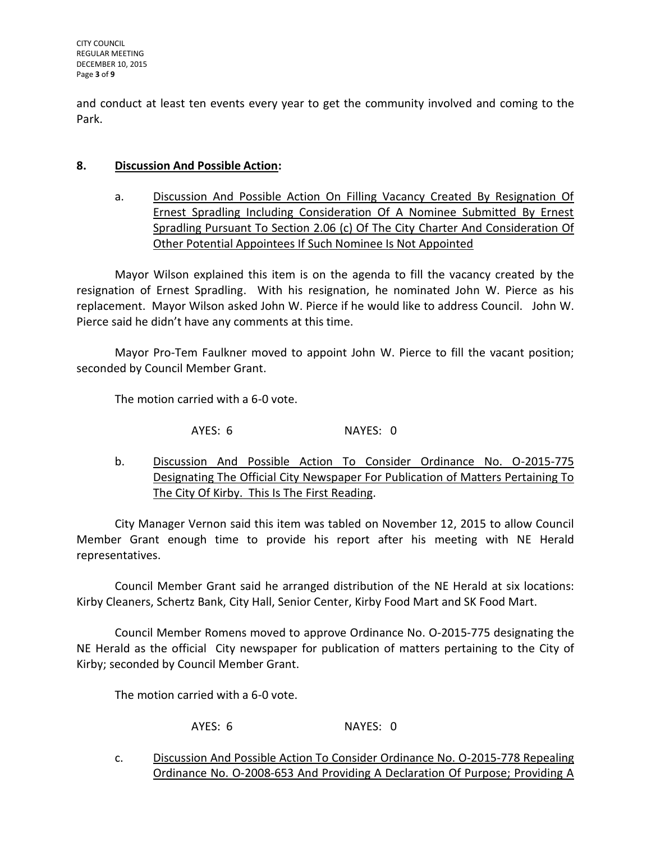and conduct at least ten events every year to get the community involved and coming to the Park.

# **8. Discussion And Possible Action:**

a. Discussion And Possible Action On Filling Vacancy Created By Resignation Of Ernest Spradling Including Consideration Of A Nominee Submitted By Ernest Spradling Pursuant To Section 2.06 (c) Of The City Charter And Consideration Of Other Potential Appointees If Such Nominee Is Not Appointed

Mayor Wilson explained this item is on the agenda to fill the vacancy created by the resignation of Ernest Spradling. With his resignation, he nominated John W. Pierce as his replacement. Mayor Wilson asked John W. Pierce if he would like to address Council. John W. Pierce said he didn't have any comments at this time.

Mayor Pro-Tem Faulkner moved to appoint John W. Pierce to fill the vacant position; seconded by Council Member Grant.

The motion carried with a 6-0 vote.

AYES: 6 NAYES: 0

b. Discussion And Possible Action To Consider Ordinance No. O-2015-775 Designating The Official City Newspaper For Publication of Matters Pertaining To The City Of Kirby. This Is The First Reading.

City Manager Vernon said this item was tabled on November 12, 2015 to allow Council Member Grant enough time to provide his report after his meeting with NE Herald representatives.

Council Member Grant said he arranged distribution of the NE Herald at six locations: Kirby Cleaners, Schertz Bank, City Hall, Senior Center, Kirby Food Mart and SK Food Mart.

Council Member Romens moved to approve Ordinance No. O-2015-775 designating the NE Herald as the official City newspaper for publication of matters pertaining to the City of Kirby; seconded by Council Member Grant.

The motion carried with a 6-0 vote.

AYES: 6 NAYES: 0

c. Discussion And Possible Action To Consider Ordinance No. O-2015-778 Repealing Ordinance No. O-2008-653 And Providing A Declaration Of Purpose; Providing A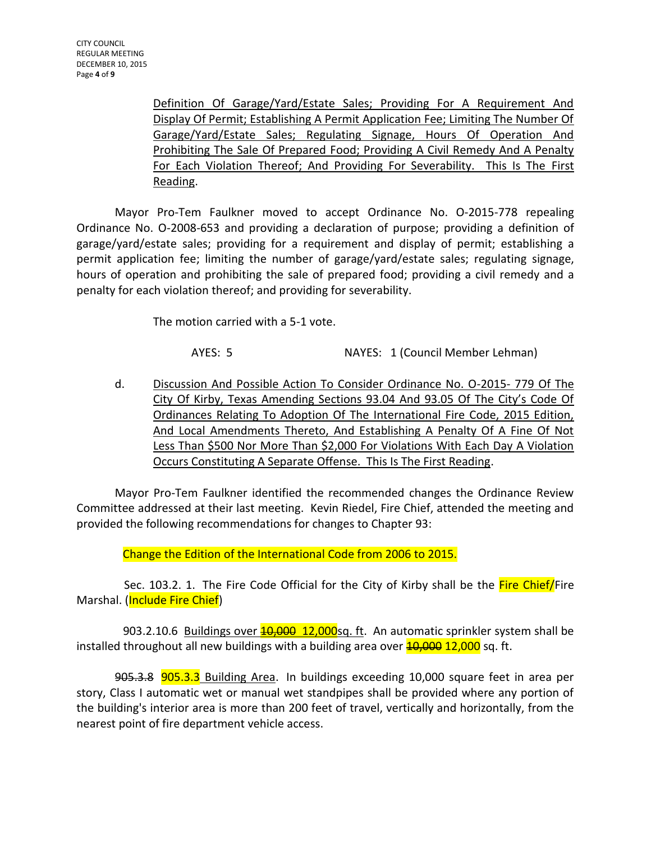Definition Of Garage/Yard/Estate Sales; Providing For A Requirement And Display Of Permit; Establishing A Permit Application Fee; Limiting The Number Of Garage/Yard/Estate Sales; Regulating Signage, Hours Of Operation And Prohibiting The Sale Of Prepared Food; Providing A Civil Remedy And A Penalty For Each Violation Thereof; And Providing For Severability. This Is The First Reading.

Mayor Pro-Tem Faulkner moved to accept Ordinance No. O-2015-778 repealing Ordinance No. O-2008-653 and providing a declaration of purpose; providing a definition of garage/yard/estate sales; providing for a requirement and display of permit; establishing a permit application fee; limiting the number of garage/yard/estate sales; regulating signage, hours of operation and prohibiting the sale of prepared food; providing a civil remedy and a penalty for each violation thereof; and providing for severability.

The motion carried with a 5-1 vote.

AYES: 5 NAYES: 1 (Council Member Lehman)

d. Discussion And Possible Action To Consider Ordinance No. O-2015- 779 Of The City Of Kirby, Texas Amending Sections 93.04 And 93.05 Of The City's Code Of Ordinances Relating To Adoption Of The International Fire Code, 2015 Edition, And Local Amendments Thereto, And Establishing A Penalty Of A Fine Of Not Less Than \$500 Nor More Than \$2,000 For Violations With Each Day A Violation Occurs Constituting A Separate Offense. This Is The First Reading.

Mayor Pro-Tem Faulkner identified the recommended changes the Ordinance Review Committee addressed at their last meeting. Kevin Riedel, Fire Chief, attended the meeting and provided the following recommendations for changes to Chapter 93:

Change the Edition of the International Code from 2006 to 2015.

Sec. 103.2. 1. The Fire Code Official for the City of Kirby shall be the Fire Chief/Fire Marshal. (Include Fire Chief)

903.2.10.6 Buildings over  $\frac{40,000}{12,000}$ sq. ft. An automatic sprinkler system shall be installed throughout all new buildings with a building area over  $\frac{40,000}{12,000}$  sq. ft.

905.3.8 905.3.3 Building Area. In buildings exceeding 10,000 square feet in area per story, Class I automatic wet or manual wet standpipes shall be provided where any portion of the building's interior area is more than 200 feet of travel, vertically and horizontally, from the nearest point of fire department vehicle access.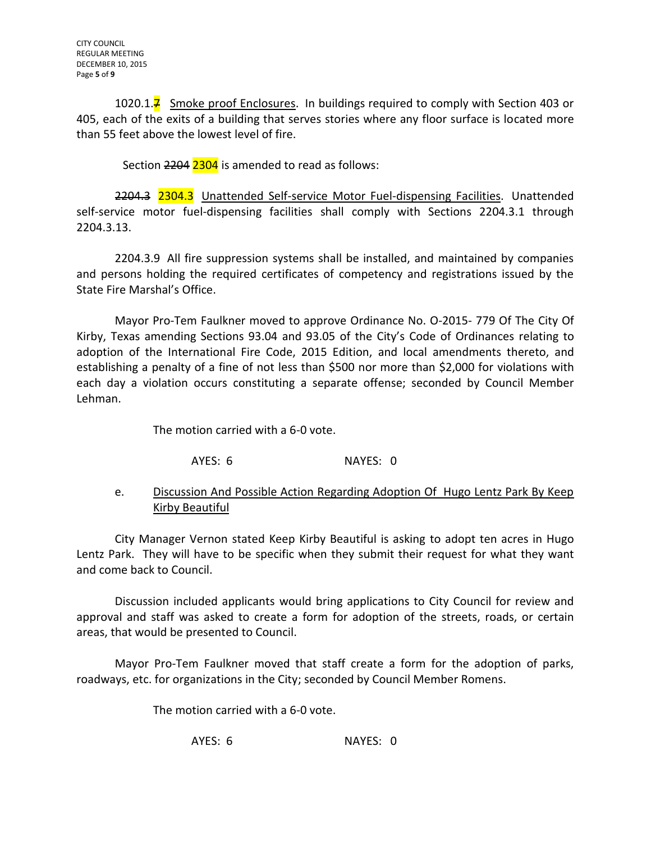1020.1. $\overline{7}$  Smoke proof Enclosures. In buildings required to comply with Section 403 or 405, each of the exits of a building that serves stories where any floor surface is located more than 55 feet above the lowest level of fire.

Section 2204 2304 is amended to read as follows:

2204.3 2304.3 Unattended Self-service Motor Fuel-dispensing Facilities. Unattended self-service motor fuel-dispensing facilities shall comply with Sections 2204.3.1 through 2204.3.13.

2204.3.9 All fire suppression systems shall be installed, and maintained by companies and persons holding the required certificates of competency and registrations issued by the State Fire Marshal's Office.

Mayor Pro-Tem Faulkner moved to approve Ordinance No. O-2015- 779 Of The City Of Kirby, Texas amending Sections 93.04 and 93.05 of the City's Code of Ordinances relating to adoption of the International Fire Code, 2015 Edition, and local amendments thereto, and establishing a penalty of a fine of not less than \$500 nor more than \$2,000 for violations with each day a violation occurs constituting a separate offense; seconded by Council Member Lehman.

The motion carried with a 6-0 vote.

AYES: 6 NAYES: 0

# e. Discussion And Possible Action Regarding Adoption Of Hugo Lentz Park By Keep Kirby Beautiful

City Manager Vernon stated Keep Kirby Beautiful is asking to adopt ten acres in Hugo Lentz Park. They will have to be specific when they submit their request for what they want and come back to Council.

Discussion included applicants would bring applications to City Council for review and approval and staff was asked to create a form for adoption of the streets, roads, or certain areas, that would be presented to Council.

Mayor Pro-Tem Faulkner moved that staff create a form for the adoption of parks, roadways, etc. for organizations in the City; seconded by Council Member Romens.

The motion carried with a 6-0 vote.

AYES: 6 NAYES: 0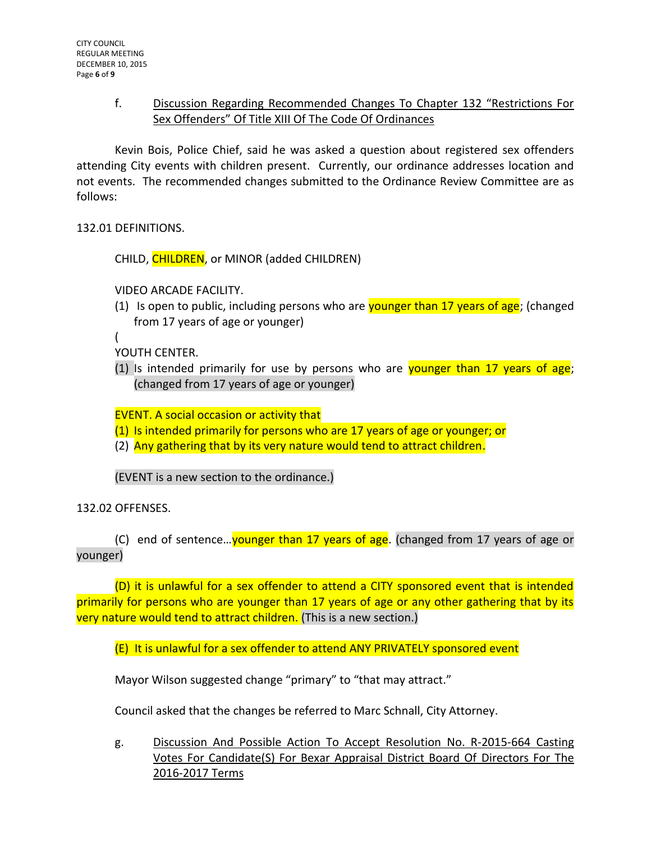# f. Discussion Regarding Recommended Changes To Chapter 132 "Restrictions For Sex Offenders" Of Title XIII Of The Code Of Ordinances

Kevin Bois, Police Chief, said he was asked a question about registered sex offenders attending City events with children present. Currently, our ordinance addresses location and not events. The recommended changes submitted to the Ordinance Review Committee are as follows:

132.01 DEFINITIONS.

CHILD, CHILDREN, or MINOR (added CHILDREN)

VIDEO ARCADE FACILITY.

- (1) Is open to public, including persons who are **younger than 17 years of age**; (changed from 17 years of age or younger)
- (

YOUTH CENTER.

(1) Is intended primarily for use by persons who are **younger than 17 years of age**; (changed from 17 years of age or younger)

EVENT. A social occasion or activity that

- (1) Is intended primarily for persons who are 17 years of age or younger; or
- (2) Any gathering that by its very nature would tend to attract children.

(EVENT is a new section to the ordinance.)

132.02 OFFENSES.

(C) end of sentence... younger than 17 years of age. (changed from 17 years of age or younger)

(D) it is unlawful for a sex offender to attend a CITY sponsored event that is intended primarily for persons who are younger than 17 years of age or any other gathering that by its very nature would tend to attract children. (This is a new section.)

(E) It is unlawful for a sex offender to attend ANY PRIVATELY sponsored event

Mayor Wilson suggested change "primary" to "that may attract."

Council asked that the changes be referred to Marc Schnall, City Attorney.

g. Discussion And Possible Action To Accept Resolution No. R-2015-664 Casting Votes For Candidate(S) For Bexar Appraisal District Board Of Directors For The 2016-2017 Terms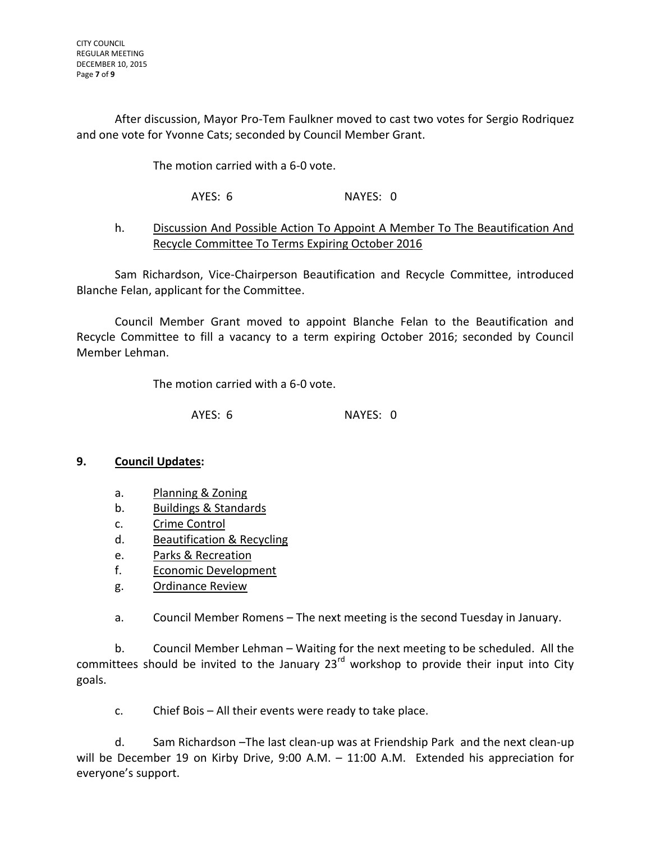After discussion, Mayor Pro-Tem Faulkner moved to cast two votes for Sergio Rodriquez and one vote for Yvonne Cats; seconded by Council Member Grant.

The motion carried with a 6-0 vote.

AYES: 6 NAYES: 0

# h. Discussion And Possible Action To Appoint A Member To The Beautification And Recycle Committee To Terms Expiring October 2016

Sam Richardson, Vice-Chairperson Beautification and Recycle Committee, introduced Blanche Felan, applicant for the Committee.

Council Member Grant moved to appoint Blanche Felan to the Beautification and Recycle Committee to fill a vacancy to a term expiring October 2016; seconded by Council Member Lehman.

The motion carried with a 6-0 vote.

AYES: 6 NAYES: 0

# **9. Council Updates:**

- a. Planning & Zoning
- b. Buildings & Standards
- c. Crime Control
- d. Beautification & Recycling
- e. Parks & Recreation
- f. Economic Development
- g. Ordinance Review

a. Council Member Romens – The next meeting is the second Tuesday in January.

b. Council Member Lehman – Waiting for the next meeting to be scheduled. All the committees should be invited to the January  $23^{rd}$  workshop to provide their input into City goals.

c. Chief Bois – All their events were ready to take place.

d. Sam Richardson –The last clean-up was at Friendship Park and the next clean-up will be December 19 on Kirby Drive, 9:00 A.M. - 11:00 A.M. Extended his appreciation for everyone's support.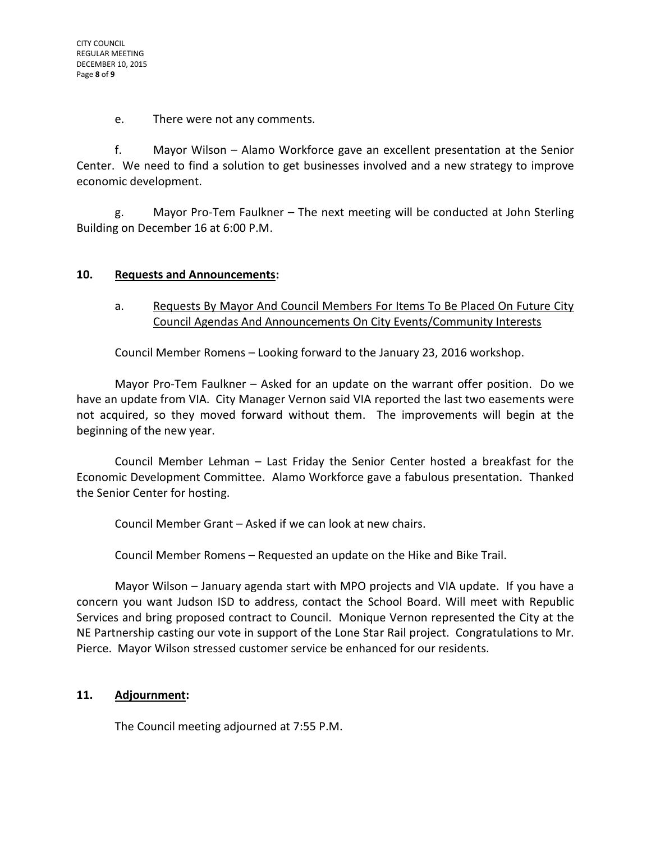e. There were not any comments.

f. Mayor Wilson – Alamo Workforce gave an excellent presentation at the Senior Center. We need to find a solution to get businesses involved and a new strategy to improve economic development.

g. Mayor Pro-Tem Faulkner – The next meeting will be conducted at John Sterling Building on December 16 at 6:00 P.M.

# **10. Requests and Announcements:**

# a. Requests By Mayor And Council Members For Items To Be Placed On Future City Council Agendas And Announcements On City Events/Community Interests

Council Member Romens – Looking forward to the January 23, 2016 workshop.

Mayor Pro-Tem Faulkner – Asked for an update on the warrant offer position. Do we have an update from VIA. City Manager Vernon said VIA reported the last two easements were not acquired, so they moved forward without them. The improvements will begin at the beginning of the new year.

Council Member Lehman – Last Friday the Senior Center hosted a breakfast for the Economic Development Committee. Alamo Workforce gave a fabulous presentation. Thanked the Senior Center for hosting.

Council Member Grant – Asked if we can look at new chairs.

Council Member Romens – Requested an update on the Hike and Bike Trail.

Mayor Wilson – January agenda start with MPO projects and VIA update. If you have a concern you want Judson ISD to address, contact the School Board. Will meet with Republic Services and bring proposed contract to Council. Monique Vernon represented the City at the NE Partnership casting our vote in support of the Lone Star Rail project. Congratulations to Mr. Pierce. Mayor Wilson stressed customer service be enhanced for our residents.

### **11. Adjournment:**

The Council meeting adjourned at 7:55 P.M.